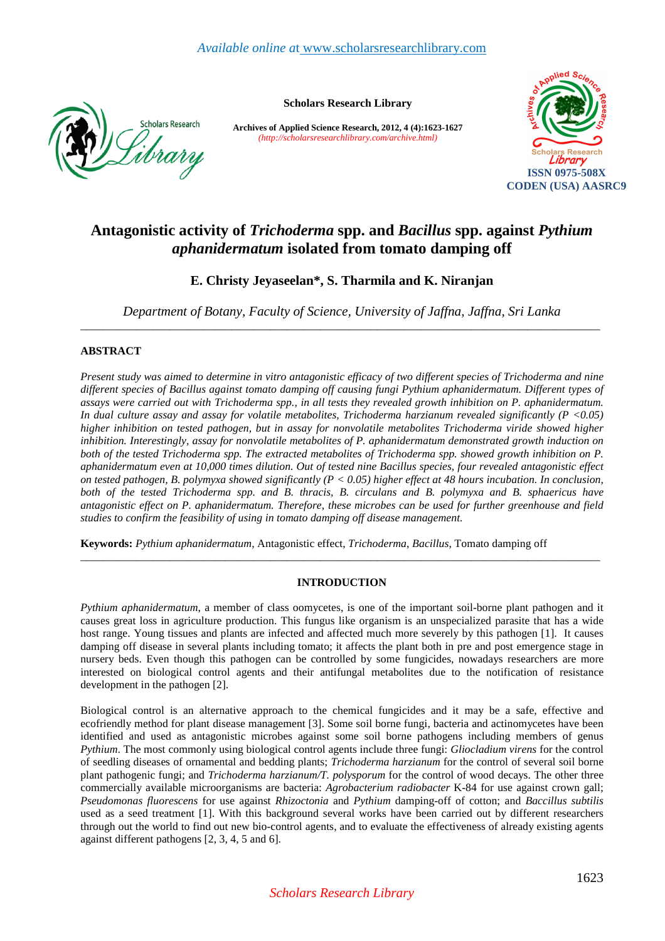

**Scholars Research Library** 

**Archives of Applied Science Research, 2012, 4 (4):1623-1627** *(http://scholarsresearchlibrary.com/archive.html)*



# **Antagonistic activity of** *Trichoderma* **spp. and** *Bacillus* **spp. against** *Pythium aphanidermatum* **isolated from tomato damping off**

## **E. Christy Jeyaseelan\*, S. Tharmila and K. Niranjan**

*Department of Botany, Faculty of Science, University of Jaffna, Jaffna, Sri Lanka*  \_\_\_\_\_\_\_\_\_\_\_\_\_\_\_\_\_\_\_\_\_\_\_\_\_\_\_\_\_\_\_\_\_\_\_\_\_\_\_\_\_\_\_\_\_\_\_\_\_\_\_\_\_\_\_\_\_\_\_\_\_\_\_\_\_\_\_\_\_\_\_\_\_\_\_\_\_\_\_\_\_\_\_\_\_\_\_\_\_\_\_\_\_

## **ABSTRACT**

*Present study was aimed to determine in vitro antagonistic efficacy of two different species of Trichoderma and nine different species of Bacillus against tomato damping off causing fungi Pythium aphanidermatum. Different types of assays were carried out with Trichoderma spp., in all tests they revealed growth inhibition on P. aphanidermatum. In dual culture assay and assay for volatile metabolites, Trichoderma harzianum revealed significantly (P <0.05) higher inhibition on tested pathogen, but in assay for nonvolatile metabolites Trichoderma viride showed higher inhibition. Interestingly, assay for nonvolatile metabolites of P. aphanidermatum demonstrated growth induction on*  both of the tested Trichoderma spp. The extracted metabolites of Trichoderma spp. showed growth inhibition on P. *aphanidermatum even at 10,000 times dilution. Out of tested nine Bacillus species, four revealed antagonistic effect on tested pathogen, B. polymyxa showed significantly (P < 0.05) higher effect at 48 hours incubation. In conclusion, both of the tested Trichoderma spp. and B. thracis, B. circulans and B. polymyxa and B. sphaericus have antagonistic effect on P. aphanidermatum. Therefore, these microbes can be used for further greenhouse and field studies to confirm the feasibility of using in tomato damping off disease management.* 

**Keywords:** *Pythium aphanidermatum*, Antagonistic effect, *Trichoderma*, *Bacillus*, Tomato damping off

## **INTRODUCTION**

\_\_\_\_\_\_\_\_\_\_\_\_\_\_\_\_\_\_\_\_\_\_\_\_\_\_\_\_\_\_\_\_\_\_\_\_\_\_\_\_\_\_\_\_\_\_\_\_\_\_\_\_\_\_\_\_\_\_\_\_\_\_\_\_\_\_\_\_\_\_\_\_\_\_\_\_\_\_\_\_\_\_\_\_\_\_\_\_\_\_\_\_\_

*Pythium aphanidermatum*, a member of class oomycetes, is one of the important soil-borne plant pathogen and it causes great loss in agriculture production. This fungus like organism is an unspecialized parasite that has a wide host range. Young tissues and plants are infected and affected much more severely by this pathogen [1]. It causes damping off disease in several plants including tomato; it affects the plant both in pre and post emergence stage in nursery beds. Even though this pathogen can be controlled by some fungicides, nowadays researchers are more interested on biological control agents and their antifungal metabolites due to the notification of resistance development in the pathogen [2].

Biological control is an alternative approach to the chemical fungicides and it may be a safe, effective and ecofriendly method for plant disease management [3]. Some soil borne fungi, bacteria and actinomycetes have been identified and used as antagonistic microbes against some soil borne pathogens including members of genus *Pythium*. The most commonly using biological control agents include three fungi: *Gliocladium virens* for the control of seedling diseases of ornamental and bedding plants; *Trichoderma harzianum* for the control of several soil borne plant pathogenic fungi; and *Trichoderma harzianum/T. polysporum* for the control of wood decays. The other three commercially available microorganisms are bacteria: *Agrobacterium radiobacter* K-84 for use against crown gall; *Pseudomonas fluorescens* for use against *Rhizoctonia* and *Pythium* damping-off of cotton; and *Baccillus subtilis* used as a seed treatment [1]. With this background several works have been carried out by different researchers through out the world to find out new bio-control agents, and to evaluate the effectiveness of already existing agents against different pathogens [2, 3, 4, 5 and 6].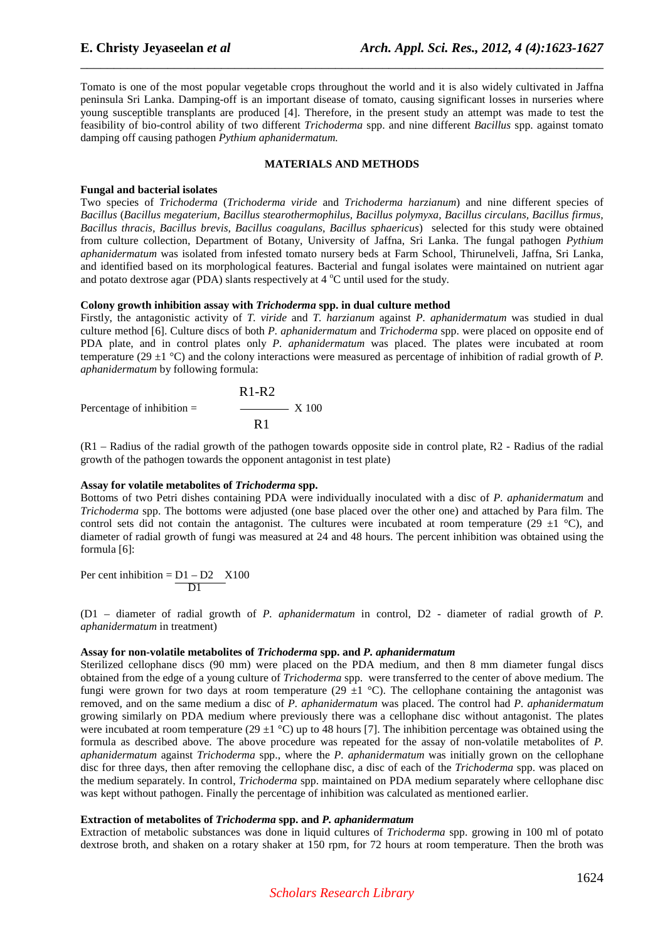Tomato is one of the most popular vegetable crops throughout the world and it is also widely cultivated in Jaffna peninsula Sri Lanka. Damping-off is an important disease of tomato, causing significant losses in nurseries where young susceptible transplants are produced [4]. Therefore, in the present study an attempt was made to test the feasibility of bio-control ability of two different *Trichoderma* spp. and nine different *Bacillus* spp. against tomato damping off causing pathogen *Pythium aphanidermatum.*

\_\_\_\_\_\_\_\_\_\_\_\_\_\_\_\_\_\_\_\_\_\_\_\_\_\_\_\_\_\_\_\_\_\_\_\_\_\_\_\_\_\_\_\_\_\_\_\_\_\_\_\_\_\_\_\_\_\_\_\_\_\_\_\_\_\_\_\_\_\_\_\_\_\_\_\_\_\_

#### **MATERIALS AND METHODS**

#### **Fungal and bacterial isolates**

Two species of *Trichoderma* (*Trichoderma viride* and *Trichoderma harzianum*) and nine different species of *Bacillus* (*Bacillus megaterium, Bacillus stearothermophilus, Bacillus polymyxa, Bacillus circulans, Bacillus firmus, Bacillus thracis, Bacillus brevis, Bacillus coagulans, Bacillus sphaericus*) selected for this study were obtained from culture collection, Department of Botany, University of Jaffna, Sri Lanka. The fungal pathogen *Pythium aphanidermatum* was isolated from infested tomato nursery beds at Farm School, Thirunelveli, Jaffna, Sri Lanka, and identified based on its morphological features. Bacterial and fungal isolates were maintained on nutrient agar and potato dextrose agar (PDA) slants respectively at  $4^{\circ}$ C until used for the study.

#### **Colony growth inhibition assay with** *Trichoderma* **spp. in dual culture method**

Firstly, the antagonistic activity of *T. viride* and *T. harzianum* against *P. aphanidermatum* was studied in dual culture method [6]. Culture discs of both *P. aphanidermatum* and *Trichoderma* spp. were placed on opposite end of PDA plate, and in control plates only *P. aphanidermatum* was placed. The plates were incubated at room temperature (29 ±1 °C) and the colony interactions were measured as percentage of inhibition of radial growth of *P. aphanidermatum* by following formula:

$$
R1-R2
$$
  
Percentage of inhibition = 
$$
R1
$$

$$
R1
$$

(R1 – Radius of the radial growth of the pathogen towards opposite side in control plate, R2 - Radius of the radial growth of the pathogen towards the opponent antagonist in test plate)

#### **Assay for volatile metabolites of** *Trichoderma* **spp.**

Bottoms of two Petri dishes containing PDA were individually inoculated with a disc of *P. aphanidermatum* and *Trichoderma* spp. The bottoms were adjusted (one base placed over the other one) and attached by Para film. The control sets did not contain the antagonist. The cultures were incubated at room temperature (29  $\pm$ 1 °C), and diameter of radial growth of fungi was measured at 24 and 48 hours. The percent inhibition was obtained using the formula [6]:

Per cent inhibition =  $D1 - D2$  X100 D<sub>1</sub>

(D1 – diameter of radial growth of *P. aphanidermatum* in control, D2 - diameter of radial growth of *P. aphanidermatum* in treatment)

#### **Assay for non-volatile metabolites of** *Trichoderma* **spp. and** *P. aphanidermatum*

Sterilized cellophane discs (90 mm) were placed on the PDA medium, and then 8 mm diameter fungal discs obtained from the edge of a young culture of *Trichoderma* spp. were transferred to the center of above medium. The fungi were grown for two days at room temperature (29  $\pm$ 1 °C). The cellophane containing the antagonist was removed*,* and on the same medium a disc of *P. aphanidermatum* was placed. The control had *P. aphanidermatum*  growing similarly on PDA medium where previously there was a cellophane disc without antagonist. The plates were incubated at room temperature (29  $\pm$ 1 °C) up to 48 hours [7]. The inhibition percentage was obtained using the formula as described above. The above procedure was repeated for the assay of non-volatile metabolites of *P. aphanidermatum* against *Trichoderma* spp., where the *P. aphanidermatum* was initially grown on the cellophane disc for three days, then after removing the cellophane disc, a disc of each of the *Trichoderma* spp. was placed on the medium separately. In control, *Trichoderma* spp. maintained on PDA medium separately where cellophane disc was kept without pathogen. Finally the percentage of inhibition was calculated as mentioned earlier.

## **Extraction of metabolites of** *Trichoderma* **spp. and** *P. aphanidermatum*

Extraction of metabolic substances was done in liquid cultures of *Trichoderma* spp. growing in 100 ml of potato dextrose broth, and shaken on a rotary shaker at 150 rpm, for 72 hours at room temperature. Then the broth was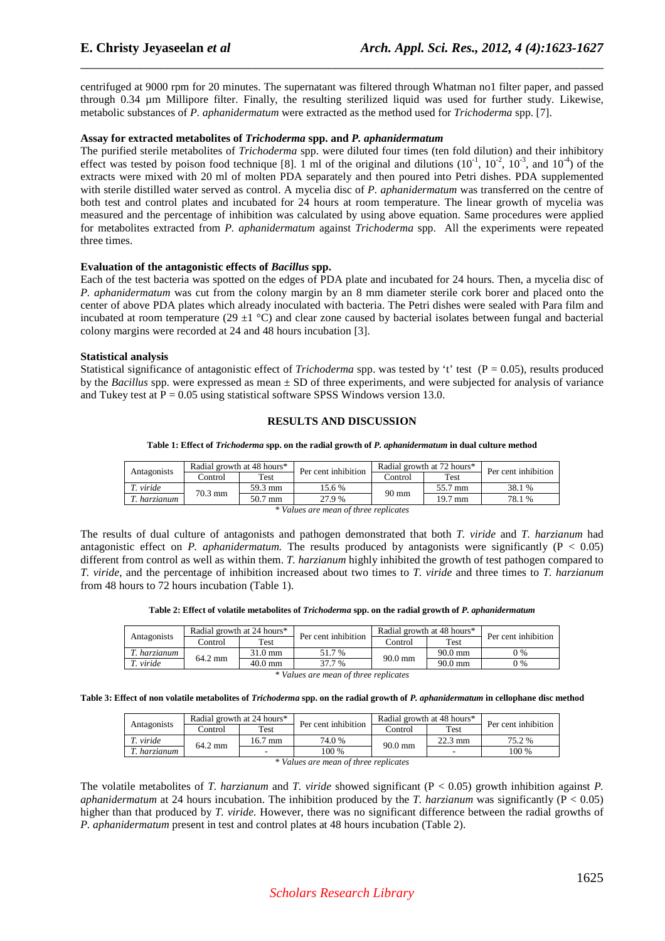centrifuged at 9000 rpm for 20 minutes. The supernatant was filtered through Whatman no1 filter paper, and passed through 0.34 µm Millipore filter. Finally, the resulting sterilized liquid was used for further study. Likewise, metabolic substances of *P. aphanidermatum* were extracted as the method used for *Trichoderma* spp. [7].

\_\_\_\_\_\_\_\_\_\_\_\_\_\_\_\_\_\_\_\_\_\_\_\_\_\_\_\_\_\_\_\_\_\_\_\_\_\_\_\_\_\_\_\_\_\_\_\_\_\_\_\_\_\_\_\_\_\_\_\_\_\_\_\_\_\_\_\_\_\_\_\_\_\_\_\_\_\_

## **Assay for extracted metabolites of** *Trichoderma* **spp. and** *P. aphanidermatum*

The purified sterile metabolites of *Trichoderma* spp. were diluted four times (ten fold dilution) and their inhibitory effect was tested by poison food technique [8]. 1 ml of the original and dilutions  $(10^{-1}, 10^{-2}, 10^{-3},$  and  $10^{-4})$  of the extracts were mixed with 20 ml of molten PDA separately and then poured into Petri dishes. PDA supplemented with sterile distilled water served as control. A mycelia disc of *P. aphanidermatum* was transferred on the centre of both test and control plates and incubated for 24 hours at room temperature. The linear growth of mycelia was measured and the percentage of inhibition was calculated by using above equation. Same procedures were applied for metabolites extracted from *P. aphanidermatum* against *Trichoderma* spp. All the experiments were repeated three times.

## **Evaluation of the antagonistic effects of** *Bacillus* **spp.**

Each of the test bacteria was spotted on the edges of PDA plate and incubated for 24 hours. Then, a mycelia disc of *P. aphanidermatum* was cut from the colony margin by an 8 mm diameter sterile cork borer and placed onto the center of above PDA plates which already inoculated with bacteria. The Petri dishes were sealed with Para film and incubated at room temperature (29  $\pm$ 1 °C) and clear zone caused by bacterial isolates between fungal and bacterial colony margins were recorded at 24 and 48 hours incubation [3].

## **Statistical analysis**

Statistical significance of antagonistic effect of *Trichoderma* spp. was tested by 't' test  $(P = 0.05)$ , results produced by the *Bacillus* spp. were expressed as mean ± SD of three experiments, and were subjected for analysis of variance and Tukey test at  $P = 0.05$  using statistical software SPSS Windows version 13.0.

## **RESULTS AND DISCUSSION**

| Table 1: Effect of Trichoderma spp. on the radial growth of P. aphanidermatum in dual culture method |                                         |  |  |                                    |  |  |
|------------------------------------------------------------------------------------------------------|-----------------------------------------|--|--|------------------------------------|--|--|
|                                                                                                      | Radial growth at 48 hours* $\mathbb{L}$ |  |  | Radial growth at 72 hours* $\vert$ |  |  |

| Antagonists                           |                   | Radial growth at 48 hours* | Per cent inhibition | Radial growth at 72 hours* |         | Per cent inhibition |
|---------------------------------------|-------------------|----------------------------|---------------------|----------------------------|---------|---------------------|
|                                       | Control           | Test                       |                     | Control                    | Test    |                     |
| T. viride                             | $70.3 \text{ mm}$ | 59.3 mm                    | 15.6 %              | $90 \text{ mm}$            | 55.7 mm | 38.1 %              |
| T. harzianum                          |                   | 50.7 mm                    | 27.9 %              |                            | 19.7 mm | 78.1 %              |
| * Values are mean of three replicates |                   |                            |                     |                            |         |                     |

The results of dual culture of antagonists and pathogen demonstrated that both *T. viride* and *T. harzianum* had antagonistic effect on *P. aphanidermatum*. The results produced by antagonists were significantly ( $P < 0.05$ ) different from control as well as within them. *T. harzianum* highly inhibited the growth of test pathogen compared to *T. viride*, and the percentage of inhibition increased about two times to *T. viride* and three times to *T. harzianum* from 48 hours to 72 hours incubation (Table 1).

| Table 2: Effect of volatile metabolites of Trichoderma spp. on the radial growth of P. aphanidermatum |  |
|-------------------------------------------------------------------------------------------------------|--|
|-------------------------------------------------------------------------------------------------------|--|

|              | Radial growth at 24 hours* |             | Per cent inhibition | Radial growth at 48 hours* |                   | Per cent inhibition |
|--------------|----------------------------|-------------|---------------------|----------------------------|-------------------|---------------------|
| Antagonists  | control.                   | <b>Test</b> | Control             | Test                       |                   |                     |
| T. harzianum | 64.2 mm                    | 31.0 mm     | 51.7 %              | $90.0 \text{ mm}$          | $90.0 \text{ mm}$ | 0 %                 |
| 1. viride    |                            | $40.0$ mm   | 37.7 %              |                            | $90.0$ mm         | 0 %                 |

*\* Values are mean of three replicates* 

**Table 3: Effect of non volatile metabolites of** *Trichoderma* **spp. on the radial growth of** *P. aphanidermatum* **in cellophane disc method** 

| Antagonists                           | Radial growth at 24 hours* |                          | Per cent inhibition | Radial growth at 48 hours* |                   | Per cent inhibition |
|---------------------------------------|----------------------------|--------------------------|---------------------|----------------------------|-------------------|---------------------|
|                                       | Control                    | Test                     |                     | Control                    | Test              |                     |
| T. viride                             | 64.2 mm                    | 16.7 mm                  | 74.0 %              | $90.0 \text{ mm}$          | $22.3 \text{ mm}$ | 75.2 %              |
| T. harzianum                          |                            | $\overline{\phantom{0}}$ | 100 %               |                            |                   | 100 %               |
| * Values are mean of three replicates |                            |                          |                     |                            |                   |                     |

The volatile metabolites of *T. harzianum* and *T. viride* showed significant (P < 0.05) growth inhibition against *P. aphanidermatum* at 24 hours incubation. The inhibition produced by the *T. harzianum* was significantly (P < 0.05) higher than that produced by *T. viride.* However, there was no significant difference between the radial growths of *P. aphanidermatum* present in test and control plates at 48 hours incubation (Table 2).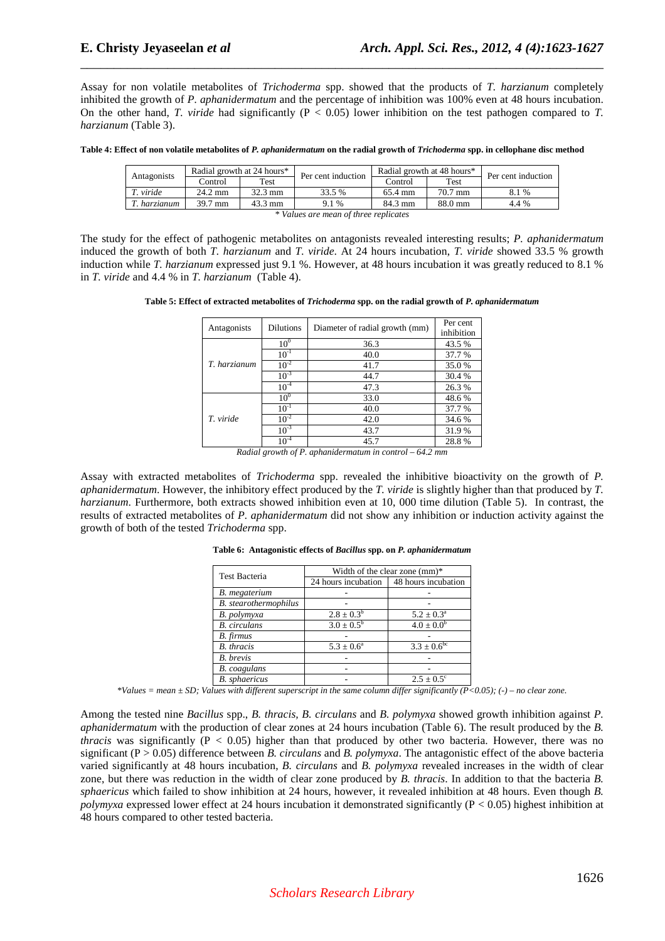Assay for non volatile metabolites of *Trichoderma* spp. showed that the products of *T. harzianum* completely inhibited the growth of *P. aphanidermatum* and the percentage of inhibition was 100% even at 48 hours incubation. On the other hand, *T. viride* had significantly (P < 0.05) lower inhibition on the test pathogen compared to *T. harzianum* (Table 3).

\_\_\_\_\_\_\_\_\_\_\_\_\_\_\_\_\_\_\_\_\_\_\_\_\_\_\_\_\_\_\_\_\_\_\_\_\_\_\_\_\_\_\_\_\_\_\_\_\_\_\_\_\_\_\_\_\_\_\_\_\_\_\_\_\_\_\_\_\_\_\_\_\_\_\_\_\_\_

Table 4: Effect of non volatile metabolites of *P. aphanidermatum* on the radial growth of *Trichoderma* spp. in cellophane disc method

| Antagonists                           | Radial growth at 24 hours* |                   | Per cent induction |         | Radial growth at 48 hours* | Per cent induction |
|---------------------------------------|----------------------------|-------------------|--------------------|---------|----------------------------|--------------------|
|                                       | Control                    | Test              |                    | Control | Test                       |                    |
| T. viride                             | 24.2 mm                    | $32.3 \text{ mm}$ | 33.5 %             | 65.4 mm | $70.7$ mm                  | 8.1 %              |
| T. harzianum                          | 39.7 mm                    | 43.3 mm           | 9.1 %              | 84.3 mm | 88.0 mm                    | 4.4 %              |
| * Values are mean of three replicates |                            |                   |                    |         |                            |                    |

The study for the effect of pathogenic metabolites on antagonists revealed interesting results; *P. aphanidermatum* induced the growth of both *T. harzianum* and *T. viride*. At 24 hours incubation, *T. viride* showed 33.5 % growth induction while *T. harzianum* expressed just 9.1 %. However, at 48 hours incubation it was greatly reduced to 8.1 % in *T. viride* and 4.4 % in *T. harzianum* (Table 4).

| Antagonists  | <b>Dilutions</b> | Diameter of radial growth (mm) | Per cent<br>inhibition |
|--------------|------------------|--------------------------------|------------------------|
|              | 10 <sup>0</sup>  | 36.3                           | 43.5 %                 |
|              | $10^{-1}$        | 40.0                           | 37.7 %                 |
| T. harzianum | $10^{-2}$        | 41.7                           | 35.0%                  |
|              | $10^{-3}$        | 44.7                           | 30.4 %                 |
|              | $10^{-4}$        | 47.3                           | 26.3%                  |
|              | 10 <sup>0</sup>  | 33.0                           | 48.6%                  |
|              | $10^{-1}$        | 40.0                           | 37.7 %                 |
| T. viride    | $10^{-2}$        | 42.0                           | 34.6 %                 |
|              | $10^{-3}$        | 43.7                           | 31.9%                  |
|              | $10^{-4}$        | 45.7                           | 28.8%                  |

*Radial growth of P. aphanidermatum in control – 64.2 mm* 

Assay with extracted metabolites of *Trichoderma* spp. revealed the inhibitive bioactivity on the growth of *P. aphanidermatum*. However, the inhibitory effect produced by the *T. viride* is slightly higher than that produced by *T. harzianum*. Furthermore, both extracts showed inhibition even at 10, 000 time dilution (Table 5). In contrast, the results of extracted metabolites of *P. aphanidermatum* did not show any inhibition or induction activity against the growth of both of the tested *Trichoderma* spp.

|                       | Width of the clear zone $(mm)^*$ |                           |  |  |  |
|-----------------------|----------------------------------|---------------------------|--|--|--|
| <b>Test Bacteria</b>  |                                  |                           |  |  |  |
|                       | 24 hours incubation              | 48 hours incubation       |  |  |  |
| B. megaterium         |                                  |                           |  |  |  |
| B. stearothermophilus |                                  |                           |  |  |  |
| B. polymyxa           | $2.8 \pm 0.3^b$                  | $5.2 \pm 0.3^{\circ}$     |  |  |  |
| <b>B.</b> circulans   | $3.0 \pm 0.5^{\rm b}$            | $4.0 \pm 0.0^b$           |  |  |  |
| B. firmus             |                                  |                           |  |  |  |
| <b>B.</b> thracis     | $5.3 \pm 0.6^{\circ}$            | $3.3 \pm 0.6^{\rm bc}$    |  |  |  |
| <b>B.</b> brevis      |                                  |                           |  |  |  |
| B. coagulans          |                                  |                           |  |  |  |
| <b>B.</b> sphaericus  |                                  | $2.5 \pm 0.5^{\circ}$     |  |  |  |
|                       |                                  | $\sim$ $\sim$ $\sim$<br>. |  |  |  |

**Table 6: Antagonistic effects of** *Bacillus* **spp. on** *P. aphanidermatum* 

*\*Values = mean ± SD; Values with different superscript in the same column differ significantly (P<0.05); (-) – no clear zone.* 

Among the tested nine *Bacillus* spp., *B. thracis, B. circulans* and *B. polymyxa* showed growth inhibition against *P. aphanidermatum* with the production of clear zones at 24 hours incubation (Table 6). The result produced by the *B. thracis* was significantly ( $P < 0.05$ ) higher than that produced by other two bacteria. However, there was no significant (P > 0.05) difference between *B. circulans* and *B. polymyxa*. The antagonistic effect of the above bacteria varied significantly at 48 hours incubation, *B. circulans* and *B. polymyxa* revealed increases in the width of clear zone, but there was reduction in the width of clear zone produced by *B. thracis*. In addition to that the bacteria *B. sphaericus* which failed to show inhibition at 24 hours, however, it revealed inhibition at 48 hours. Even though *B. polymyxa* expressed lower effect at 24 hours incubation it demonstrated significantly (P < 0.05) highest inhibition at 48 hours compared to other tested bacteria.